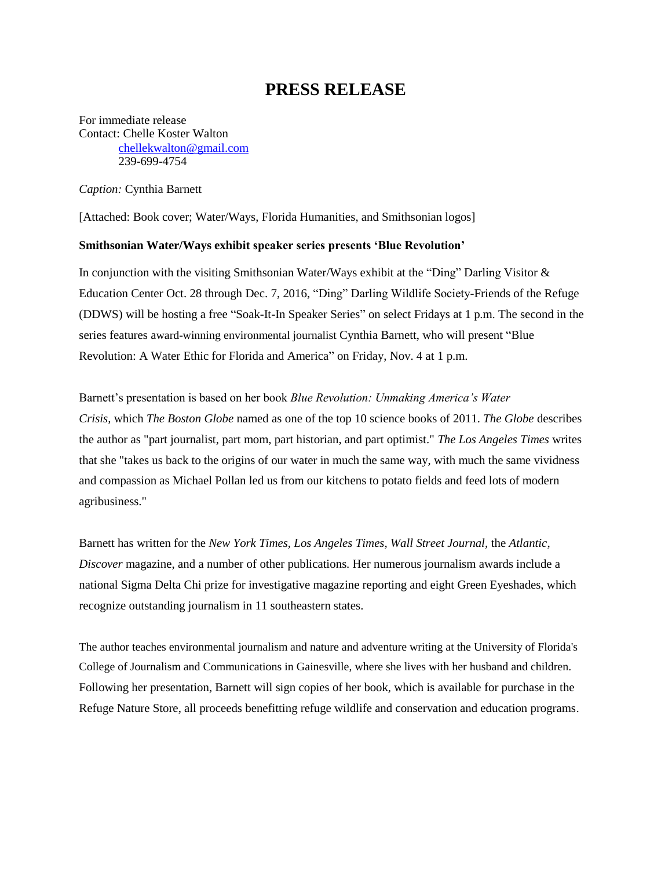## **PRESS RELEASE**

For immediate release Contact: Chelle Koster Walton [chellekwalton@gmail.com](mailto:chellekwalton@gmail.com) 239-699-4754

*Caption:* Cynthia Barnett

[Attached: Book cover; Water/Ways, Florida Humanities, and Smithsonian logos]

## **Smithsonian Water/Ways exhibit speaker series presents 'Blue Revolution'**

In conjunction with the visiting Smithsonian Water/Ways exhibit at the "Ding" Darling Visitor & Education Center Oct. 28 through Dec. 7, 2016, "Ding" Darling Wildlife Society-Friends of the Refuge (DDWS) will be hosting a free "Soak-It-In Speaker Series" on select Fridays at 1 p.m. The second in the series features award-winning environmental journalist Cynthia Barnett, who will present "Blue Revolution: A Water Ethic for Florida and America" on Friday, Nov. 4 at 1 p.m.

Barnett's presentation is based on her book *Blue Revolution: Unmaking America's Water Crisis,* which *The Boston Globe* named as one of the top 10 science books of 2011. *The Globe* describes the author as "part journalist, part mom, part historian, and part optimist." *The Los Angeles Times* writes that she "takes us back to the origins of our water in much the same way, with much the same vividness and compassion as Michael Pollan led us from our kitchens to potato fields and feed lots of modern agribusiness."

Barnett has written for the *New York Times, Los Angeles Times, Wall Street Journal,* the *Atlantic*, *Discover* magazine, and a number of other publications. Her numerous journalism awards include a national Sigma Delta Chi prize for investigative magazine reporting and eight Green Eyeshades, which recognize outstanding journalism in 11 southeastern states.

The author teaches environmental journalism and nature and adventure writing at the University of Florida's College of Journalism and Communications in Gainesville, where she lives with her husband and children. Following her presentation, Barnett will sign copies of her book, which is available for purchase in the Refuge Nature Store, all proceeds benefitting refuge wildlife and conservation and education programs.